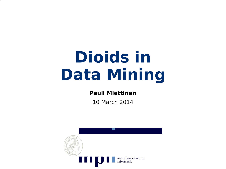#### **Dioids in Data Mining**

#### **Pauli Miettinen**

10 March 2014

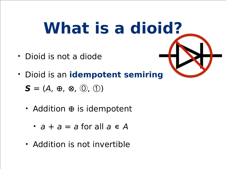#### **What is a dioid?**

- Dioid is not a diode
- Dioid is an **idempotent semiring** *S* = (*A,* ⊕*,* ⊗*,* ⓪, ①)
	- Addition ⊕ is idempotent
		- $a + a = a$  for all  $a \in A$
	- Addition is not invertible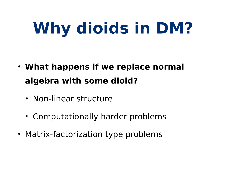# **Why dioids in DM?**

- **• What happens if we replace normal algebra with some dioid?**
	- **•** Non-linear structure
	- Computationally harder problems
- Matrix-factorization type problems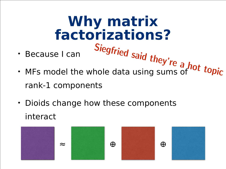**Why matrix factorizations?** • Because I can • Because I can Siegfried said they're a hot topic<br>• MFs model the whole data using sums of topic rank-1 components

• Dioids change how these components interact

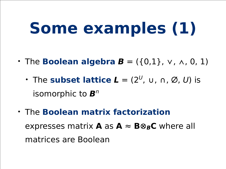## **Some examples (1)**

- The **Boolean algebra**  $B = (\{0,1\}, \vee, \wedge, 0, 1)$ 
	- The **subset lattice**  $L = (2^U, u, n, \emptyset, U)$  is isomorphic to *B<sup>n</sup>*
- The **Boolean matrix factorization** expresses matrix **A** as  $A \approx B \otimes_B C$  where all matrices are Boolean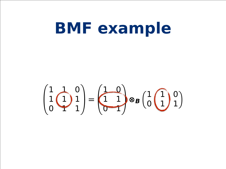#### **BMF** example

 $\begin{pmatrix} 1 & 0 \\ 1 & 1 \\ 0 & 1 \end{pmatrix} = \begin{pmatrix} 1 & 0 \\ 1 & 1 \\ 0 & 1 \end{pmatrix} \otimes_B \begin{pmatrix} 1 & 0 \\ 0 & 1 \end{pmatrix}$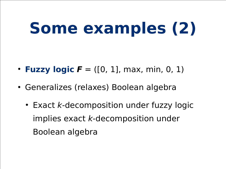## **Some examples (2)**

- **Fuzzy logic**  $F = ([0, 1], max, min, 0, 1)$
- **•** Generalizes (relaxes) Boolean algebra
	- **•** Exact *k*-decomposition under fuzzy logic implies exact *k*-decomposition under Boolean algebra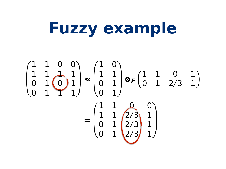#### Fuzzy example

 $\begin{pmatrix} 1 & 1 & 0 & 0 \\ 1 & 1 & 1 & 1 \\ 0 & 1 & 0 & 1 \\ 0 & 1 & 1 & 1 \end{pmatrix} \approx \begin{pmatrix} 1 & 0 \\ 1 & 1 \\ 0 & 1 \end{pmatrix} \otimes F \begin{pmatrix} 1 & 1 & 0 & 1 \\ 0 & 1 & 2/3 & 1 \end{pmatrix}$  $= \begin{pmatrix} 1 & 1 & 0 & 0 \\ 1 & 1 & 2/3 & 1 \\ 0 & 1 & 2/3 & 1 \\ 0 & 1 & 2/3 & 1 \end{pmatrix}$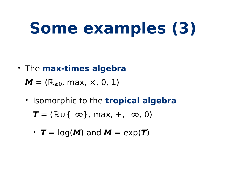## **Some examples (3)**

• The **max-times algebra**

 $M = (\mathbb{R}_{\geq 0}, \max, \times, 0, 1)$ 

- Isomorphic to the **tropical algebra**
	- $T = (\mathbb{R} \cup \{-\infty\}, \max, +, -\infty, 0)$
	- $T = log(M)$  and  $M = exp(T)$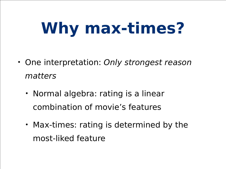## **Why max-times?**

- One interpretation: *Only strongest reason matters*
	- Normal algebra: rating is a linear combination of movie's features
	- Max-times: rating is determined by the most-liked feature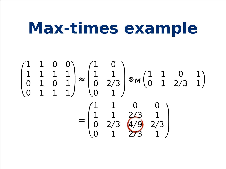#### Max-times example

 $\begin{pmatrix} 1 & 1 & 0 & 0 \\ 1 & 1 & 1 & 1 \\ 0 & 1 & 0 & 1 \\ 0 & 1 & 1 & 1 \end{pmatrix} \approx \begin{pmatrix} 1 & 0 \\ 1 & 1 \\ 0 & 2/3 \\ 0 & 1 \end{pmatrix} \otimes m \begin{pmatrix} 1 & 1 & 0 & 1 \\ 0 & 1 & 2/3 & 1 \end{pmatrix}$  $= \begin{pmatrix} 1 & 1 & 0 & 0 \\ 1 & 1 & 2/3 & 1 \\ 0 & 2/3 & 4/9 & 2/3 \\ 0 & 1 & 2/3 & 1 \end{pmatrix}$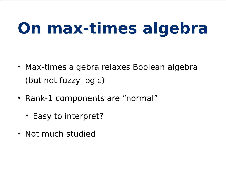## **On max-times algebra**

- Max-times algebra relaxes Boolean algebra (but not fuzzy logic)
- Rank-1 components are "normal"
	- Easy to interpret?
- Not much studied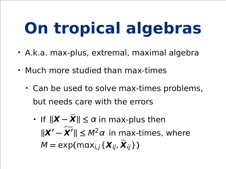# **On tropical algebras**

- A.k.a. max-plus, extremal, maximal algebra
- Much more studied than max-times
	- Can be used to solve max-times problems, but needs care with the errors
		- If  $||X X|| \le \alpha$  in max-plus then  $\|\mathbf{X}' - \mathbf{X}'\| \leq M^2 \alpha$  in max-times, where  $M = \exp(\max_{i,j}\{\boldsymbol{X}_{ij}, \boldsymbol{X}_{ij}\})$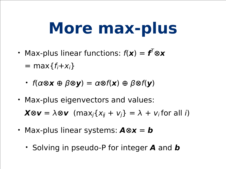#### **More max-plus**

- Max-plus linear functions: *f*(*x*) = *f T* ⊗*x*  $=$  max $\{f_i+x_i\}$ 
	- *f*(α⊗*x* ⊕ β⊗*y*) = α⊗*f*(*x*) ⊕ β⊗*f*(*y*)
- Max-plus eigenvectors and values:  $X \otimes v = \lambda \otimes v$  (max<sub>i</sub>{*x*<sub>ij</sub> + *v*<sub>i</sub>} =  $\lambda$  + *v*<sub>i</sub> for all *i*)
- Max-plus linear systems: *A*⊗*x* = *b*
	- Solving in pseudo-P for integer *A* and *b*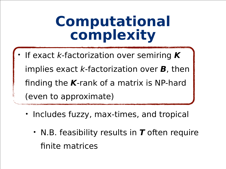#### **Computational complexity**

- If exact *k-*factorization over semiring *K* implies exact *k*-factorization over *B*, then finding the *K*-rank of a matrix is NP-hard (even to approximate)
	- Includes fuzzy, max-times, and tropical
		- N.B. feasibility results in *T* often require finite matrices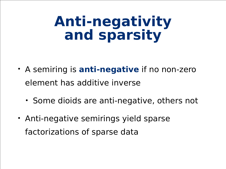#### **Anti-negativity and sparsity**

- A semiring is **anti-negative** if no non-zero element has additive inverse
	- Some dioids are anti-negative, others not
- Anti-negative semirings yield sparse factorizations of sparse data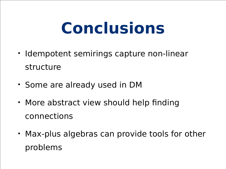#### **Conclusions**

- Idempotent semirings capture non-linear structure
- Some are already used in DM
- More abstract view should help finding connections
- Max-plus algebras can provide tools for other problems